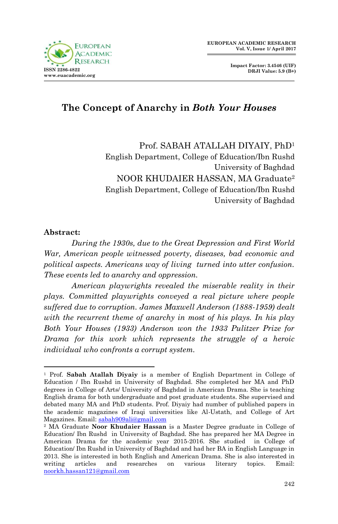

# **The Concept of Anarchy in** *Both Your Houses*

Prof. SABAH ATALLAH DIYAIY, PhD<sup>1</sup> English Department, College of Education/Ibn Rushd University of Baghdad NOOR KHUDAIER HASSAN, MA Graduate<sup>2</sup> English Department, College of Education/Ibn Rushd University of Baghdad

#### **Abstract:**

1

*During the 1930s, due to the Great Depression and First World War, American people witnessed poverty, diseases, bad economic and political aspects. Americans way of living turned into utter confusion. These events led to anarchy and oppression.*

*American playwrights revealed the miserable reality in their plays. Committed playwrights conveyed a real picture where people suffered due to corruption. James Maxwell Anderson (1888-1959) dealt with the recurrent theme of anarchy in most of his plays. In his play Both Your Houses (1933) Anderson won the 1933 Pulitzer Prize for Drama for this work which represents the struggle of a heroic individual who confronts a corrupt system.*

<sup>1</sup> Prof. **Sabah Atallah Diyaiy** is a member of English Department in College of Education / Ibn Rushd in University of Baghdad. She completed her MA and PhD degrees in College of Arts/ University of Baghdad in American Drama. She is teaching English drama for both undergraduate and post graduate students. She supervised and debated many MA and PhD students. Prof. Diyaiy had number of published papers in the academic magazines of Iraqi universities like Al-Ustath, and College of Art Magazines. Email: [sabah909ali@gmail.com](mailto:sabah909ali@gmail.com)

<sup>2</sup> MA Graduate **Noor Khudaier Hassan** is a Master Degree graduate in College of Education/ Ibn Rushd in University of Baghdad. She has prepared her MA Degree in American Drama for the academic year 2015-2016. She studied in College of Education/ Ibn Rushd in University of Baghdad and had her BA in English Language in 2013. She is interested in both English and American Drama. She is also interested in writing articles and researches on various literary topics. Email: [noorkh.hassan121@gmail.com](mailto:noorkh.hassan121@gmail.com)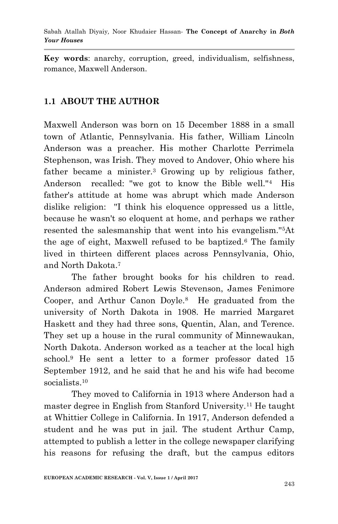**Key words**: anarchy, corruption, greed, individualism, selfishness, romance, Maxwell Anderson.

#### **1.1 ABOUT THE AUTHOR**

Maxwell Anderson was born on 15 December 1888 in a small town of Atlantic, Pennsylvania. His father, William Lincoln Anderson was a preacher. His mother Charlotte Perrimela Stephenson, was Irish. They moved to Andover, Ohio where his father became a minister.<sup>3</sup> Growing up by religious father, Anderson recalled: ''we got to know the Bible well.''4 His father's attitude at home was abrupt which made Anderson dislike religion: ''I think his eloquence oppressed us a little, because he wasn't so eloquent at home, and perhaps we rather resented the salesmanship that went into his evangelism.''5At the age of eight, Maxwell refused to be baptized.<sup>6</sup> The family lived in thirteen different places across Pennsylvania, Ohio, and North Dakota.<sup>7</sup>

The father brought books for his children to read. Anderson admired Robert Lewis Stevenson, James Fenimore Cooper, and Arthur Canon Doyle.<sup>8</sup> He graduated from the university of North Dakota in 1908. He married Margaret Haskett and they had three sons, Quentin, Alan, and Terence. They set up a house in the rural community of Minnewaukan, North Dakota. Anderson worked as a teacher at the local high school.<sup>9</sup> He sent a letter to a former professor dated 15 September 1912, and he said that he and his wife had become socialists.<sup>10</sup>

They moved to California in 1913 where Anderson had a master degree in English from Stanford University.<sup>11</sup> He taught at Whittier College in California. In 1917, Anderson defended a student and he was put in jail. The student Arthur Camp, attempted to publish a letter in the college newspaper clarifying his reasons for refusing the draft, but the campus editors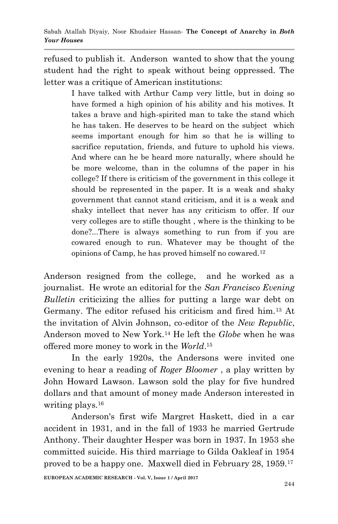refused to publish it. Anderson wanted to show that the young student had the right to speak without being oppressed. The letter was a critique of American institutions:

> I have talked with Arthur Camp very little, but in doing so have formed a high opinion of his ability and his motives. It takes a brave and high-spirited man to take the stand which he has taken. He deserves to be heard on the subject which seems important enough for him so that he is willing to sacrifice reputation, friends, and future to uphold his views. And where can he be heard more naturally, where should he be more welcome, than in the columns of the paper in his college? If there is criticism of the government in this college it should be represented in the paper. It is a weak and shaky government that cannot stand criticism, and it is a weak and shaky intellect that never has any criticism to offer. If our very colleges are to stifle thought , where is the thinking to be done?...There is always something to run from if you are cowared enough to run. Whatever may be thought of the opinions of Camp, he has proved himself no cowared.<sup>12</sup>

Anderson resigned from the college, and he worked as a journalist. He wrote an editorial for the *San Francisco Evening Bulletin* criticizing the allies for putting a large war debt on Germany. The editor refused his criticism and fired him.<sup>13</sup> At the invitation of Alvin Johnson, co-editor of the *New Republic*, Anderson moved to New York.<sup>14</sup> He left the *Globe* when he was offered more money to work in the *World*. 15

In the early 1920s, the Andersons were invited one evening to hear a reading of *Roger Bloomer* , a play written by John Howard Lawson. Lawson sold the play for five hundred dollars and that amount of money made Anderson interested in writing plays.<sup>16</sup>

Anderson's first wife Margret Haskett, died in a car accident in 1931, and in the fall of 1933 he married Gertrude Anthony. Their daughter Hesper was born in 1937. In 1953 she committed suicide. His third marriage to Gilda Oakleaf in 1954 proved to be a happy one. Maxwell died in February 28, 1959.17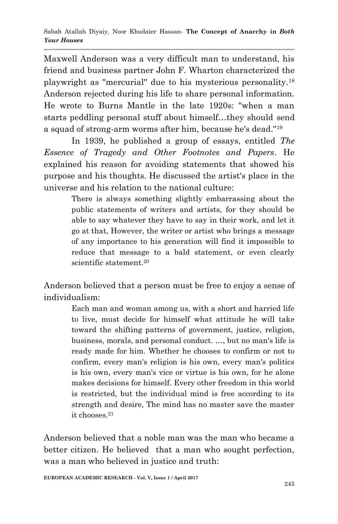Maxwell Anderson was a very difficult man to understand, his friend and business partner John F. Wharton characterized the playwright as ''mercurial'' due to his mysterious personality.<sup>18</sup> Anderson rejected during his life to share personal information. He wrote to Burns Mantle in the late 1920s: ''when a man starts peddling personal stuff about himself…they should send a squad of strong-arm worms after him, because he's dead.''<sup>19</sup>

In 1939, he published a group of essays, entitled *The Essence of Tragedy and Other Footnotes and Papers*. He explained his reason for avoiding statements that showed his purpose and his thoughts. He discussed the artist's place in the universe and his relation to the national culture:

> There is always something slightly embarrassing about the public statements of writers and artists, for they should be able to say whatever they have to say in their work, and let it go at that, However, the writer or artist who brings a message of any importance to his generation will find it impossible to reduce that message to a bald statement, or even clearly scientific statement.<sup>20</sup>

Anderson believed that a person must be free to enjoy a sense of individualism:

> Each man and woman among us, with a short and harried life to live, must decide for himself what attitude he will take toward the shifting patterns of government, justice, religion, business, morals, and personal conduct. …, but no man's life is ready made for him. Whether he chooses to confirm or not to confirm, every man's religion is his own, every man's politics is his own, every man's vice or virtue is his own, for he alone makes decisions for himself. Every other freedom in this world is restricted, but the individual mind is free according to its strength and desire, The mind has no master save the master it chooses.<sup>21</sup>

Anderson believed that a noble man was the man who became a better citizen. He believed that a man who sought perfection, was a man who believed in justice and truth: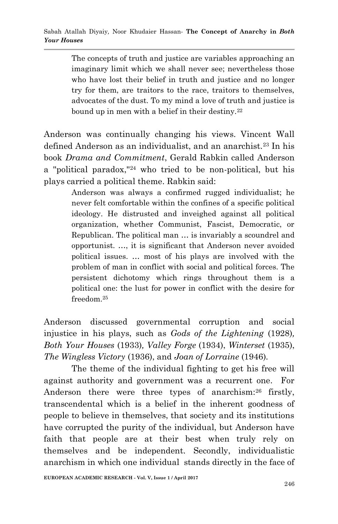The concepts of truth and justice are variables approaching an imaginary limit which we shall never see; nevertheless those who have lost their belief in truth and justice and no longer try for them, are traitors to the race, traitors to themselves, advocates of the dust. To my mind a love of truth and justice is bound up in men with a belief in their destiny.<sup>22</sup>

Anderson was continually changing his views. Vincent Wall defined Anderson as an individualist, and an anarchist.<sup>23</sup> In his book *Drama and Commitment*, Gerald Rabkin called Anderson a "political paradox,"<sup>24</sup> who tried to be non-political, but his plays carried a political theme. Rabkin said:

> Anderson was always a confirmed rugged individualist; he never felt comfortable within the confines of a specific political ideology. He distrusted and inveighed against all political organization, whether Communist, Fascist, Democratic, or Republican. The political man … is invariably a scoundrel and opportunist. …, it is significant that Anderson never avoided political issues. … most of his plays are involved with the problem of man in conflict with social and political forces. The persistent dichotomy which rings throughout them is a political one: the lust for power in conflict with the desire for freedom.<sup>25</sup>

Anderson discussed governmental corruption and social injustice in his plays, such as *Gods of the Lightening* (1928)*, Both Your Houses* (1933)*, Valley Forge* (1934), *Winterset* (1935), *The Wingless Victory* (1936), and *Joan of Lorraine* (1946)*.* 

The theme of the individual fighting to get his free will against authority and government was a recurrent one. For Anderson there were three types of anarchism:<sup>26</sup> firstly, transcendental which is a belief in the inherent goodness of people to believe in themselves, that society and its institutions have corrupted the purity of the individual, but Anderson have faith that people are at their best when truly rely on themselves and be independent. Secondly, individualistic anarchism in which one individual stands directly in the face of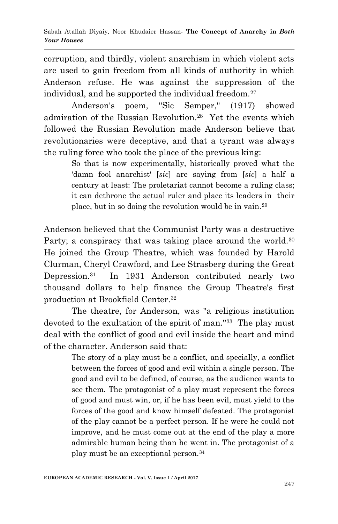corruption, and thirdly, violent anarchism in which violent acts are used to gain freedom from all kinds of authority in which Anderson refuse. He was against the suppression of the individual, and he supported the individual freedom.<sup>27</sup>

 Anderson's poem, ''Sic Semper,'' (1917) showed admiration of the Russian Revolution.<sup>28</sup> Yet the events which followed the Russian Revolution made Anderson believe that revolutionaries were deceptive, and that a tyrant was always the ruling force who took the place of the previous king:

> So that is now experimentally, historically proved what the 'damn fool anarchist' [*sic*] are saying from [*sic*] a half a century at least: The proletariat cannot become a ruling class; it can dethrone the actual ruler and place its leaders in their place, but in so doing the revolution would be in vain.<sup>29</sup>

Anderson believed that the Communist Party was a destructive Party; a conspiracy that was taking place around the world.<sup>30</sup> He joined the Group Theatre, which was founded by Harold Clurman, Cheryl Crawford, and Lee Strasberg during the Great Depression.<sup>31</sup> In 1931 Anderson contributed nearly two thousand dollars to help finance the Group Theatre's first production at Brookfield Center.<sup>32</sup>

The theatre, for Anderson, was ''a religious institution devoted to the exultation of the spirit of man.''<sup>33</sup> The play must deal with the conflict of good and evil inside the heart and mind of the character. Anderson said that:

> The story of a play must be a conflict, and specially, a conflict between the forces of good and evil within a single person. The good and evil to be defined, of course, as the audience wants to see them. The protagonist of a play must represent the forces of good and must win, or, if he has been evil, must yield to the forces of the good and know himself defeated. The protagonist of the play cannot be a perfect person. If he were he could not improve, and he must come out at the end of the play a more admirable human being than he went in. The protagonist of a play must be an exceptional person.34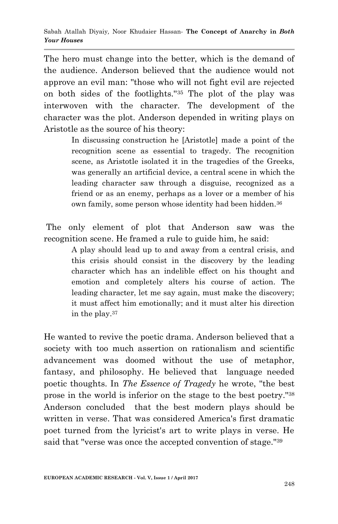The hero must change into the better, which is the demand of the audience. Anderson believed that the audience would not approve an evil man: ''those who will not fight evil are rejected on both sides of the footlights.''<sup>35</sup> The plot of the play was interwoven with the character. The development of the character was the plot. Anderson depended in writing plays on Aristotle as the source of his theory:

> In discussing construction he [Aristotle] made a point of the recognition scene as essential to tragedy. The recognition scene, as Aristotle isolated it in the tragedies of the Greeks, was generally an artificial device, a central scene in which the leading character saw through a disguise, recognized as a friend or as an enemy, perhaps as a lover or a member of his own family, some person whose identity had been hidden.<sup>36</sup>

The only element of plot that Anderson saw was the recognition scene. He framed a rule to guide him, he said:

> A play should lead up to and away from a central crisis, and this crisis should consist in the discovery by the leading character which has an indelible effect on his thought and emotion and completely alters his course of action. The leading character, let me say again, must make the discovery; it must affect him emotionally; and it must alter his direction in the play.<sup>37</sup>

He wanted to revive the poetic drama. Anderson believed that a society with too much assertion on rationalism and scientific advancement was doomed without the use of metaphor, fantasy, and philosophy. He believed that language needed poetic thoughts. In *The Essence of Tragedy* he wrote, ''the best prose in the world is inferior on the stage to the best poetry.''<sup>38</sup> Anderson concluded that the best modern plays should be written in verse. That was considered America's first dramatic poet turned from the lyricist's art to write plays in verse. He said that ''verse was once the accepted convention of stage.''39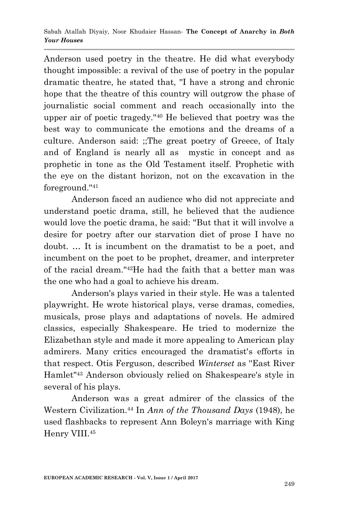Anderson used poetry in the theatre. He did what everybody thought impossible: a revival of the use of poetry in the popular dramatic theatre, he stated that, ''I have a strong and chronic hope that the theatre of this country will outgrow the phase of journalistic social comment and reach occasionally into the upper air of poetic tragedy.''<sup>40</sup> He believed that poetry was the best way to communicate the emotions and the dreams of a culture. Anderson said: ;;The great poetry of Greece, of Italy and of England is nearly all as mystic in concept and as prophetic in tone as the Old Testament itself. Prophetic with the eye on the distant horizon, not on the excavation in the foreground.''<sup>41</sup>

Anderson faced an audience who did not appreciate and understand poetic drama, still, he believed that the audience would love the poetic drama, he said: ''But that it will involve a desire for poetry after our starvation diet of prose I have no doubt. … It is incumbent on the dramatist to be a poet, and incumbent on the poet to be prophet, dreamer, and interpreter of the racial dream.''42He had the faith that a better man was the one who had a goal to achieve his dream.

Anderson's plays varied in their style. He was a talented playwright. He wrote historical plays, verse dramas, comedies, musicals, prose plays and adaptations of novels. He admired classics, especially Shakespeare. He tried to modernize the Elizabethan style and made it more appealing to American play admirers. Many critics encouraged the dramatist's efforts in that respect. Otis Ferguson, described *Winterset* as ''East River Hamlet''<sup>43</sup> Anderson obviously relied on Shakespeare's style in several of his plays.

Anderson was a great admirer of the classics of the Western Civilization.<sup>44</sup> In *Ann of the Thousand Days* (1948), he used flashbacks to represent Ann Boleyn's marriage with King Henry VIII.45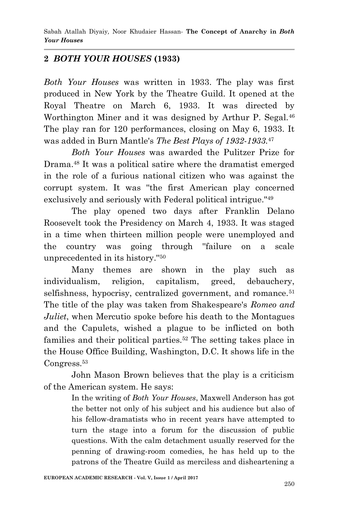## **2** *BOTH YOUR HOUSES* **(1933)**

*Both Your Houses* was written in 1933. The play was first produced in New York by the Theatre Guild. It opened at the Royal Theatre on March 6, 1933. It was directed by Worthington Miner and it was designed by Arthur P. Segal.<sup>46</sup> The play ran for 120 performances, closing on May 6, 1933. It was added in Burn Mantle's *The Best Plays of 1932-1933.*<sup>47</sup>

*Both Your Houses* was awarded the Pulitzer Prize for Drama.<sup>48</sup> It was a political satire where the dramatist emerged in the role of a furious national citizen who was against the corrupt system. It was ''the first American play concerned exclusively and seriously with Federal political intrigue.''<sup>49</sup>

The play opened two days after Franklin Delano Roosevelt took the Presidency on March 4, 1933. It was staged in a time when thirteen million people were unemployed and the country was going through ''failure on a scale unprecedented in its history.''<sup>50</sup>

Many themes are shown in the play such as individualism, religion, capitalism, greed, debauchery, selfishness, hypocrisy, centralized government, and romance.<sup>51</sup> The title of the play was taken from Shakespeare's *Romeo and Juliet*, when Mercutio spoke before his death to the Montagues and the Capulets, wished a plague to be inflicted on both families and their political parties.<sup>52</sup> The setting takes place in the House Office Building, Washington, D.C. It shows life in the Congress.<sup>53</sup>

John Mason Brown believes that the play is a criticism of the American system. He says:

> In the writing of *Both Your Houses*, Maxwell Anderson has got the better not only of his subject and his audience but also of his fellow-dramatists who in recent years have attempted to turn the stage into a forum for the discussion of public questions. With the calm detachment usually reserved for the penning of drawing-room comedies, he has held up to the patrons of the Theatre Guild as merciless and disheartening a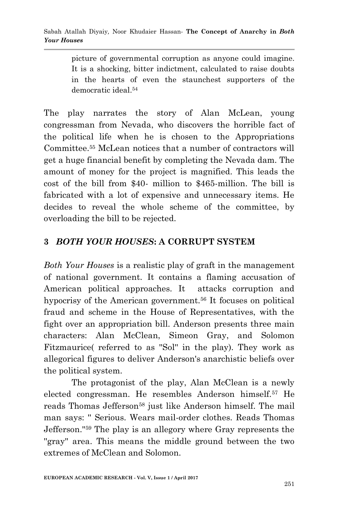picture of governmental corruption as anyone could imagine. It is a shocking, bitter indictment, calculated to raise doubts in the hearts of even the staunchest supporters of the democratic ideal.<sup>54</sup>

The play narrates the story of Alan McLean, young congressman from Nevada, who discovers the horrible fact of the political life when he is chosen to the Appropriations Committee.<sup>55</sup> McLean notices that a number of contractors will get a huge financial benefit by completing the Nevada dam. The amount of money for the project is magnified. This leads the cost of the bill from \$40- million to \$465-million. The bill is fabricated with a lot of expensive and unnecessary items. He decides to reveal the whole scheme of the committee, by overloading the bill to be rejected.

#### **3** *BOTH YOUR HOUSES***: A CORRUPT SYSTEM**

*Both Your Houses* is a realistic play of graft in the management of national government. It contains a flaming accusation of American political approaches. It attacks corruption and hypocrisy of the American government.<sup>56</sup> It focuses on political fraud and scheme in the House of Representatives, with the fight over an appropriation bill. Anderson presents three main characters: Alan McClean, Simeon Gray, and Solomon Fitzmaurice( referred to as "Sol" in the play). They work as allegorical figures to deliver Anderson's anarchistic beliefs over the political system.

The protagonist of the play, Alan McClean is a newly elected congressman. He resembles Anderson himself.<sup>57</sup> He reads Thomas Jefferson<sup>58</sup> just like Anderson himself. The mail man says: '' Serious. Wears mail-order clothes. Reads Thomas Jefferson.''<sup>59</sup> The play is an allegory where Gray represents the "gray" area. This means the middle ground between the two extremes of McClean and Solomon.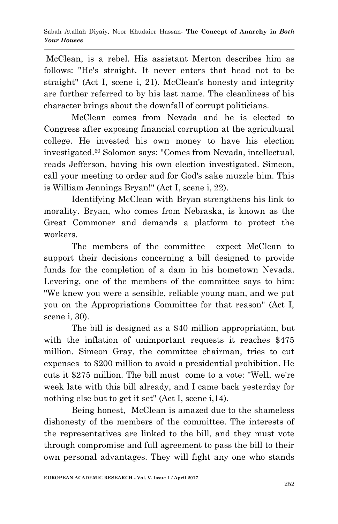McClean, is a rebel. His assistant Merton describes him as follows: ''He's straight. It never enters that head not to be straight'' (Act I, scene i, 21). McClean's honesty and integrity are further referred to by his last name. The cleanliness of his character brings about the downfall of corrupt politicians.

McClean comes from Nevada and he is elected to Congress after exposing financial corruption at the agricultural college. He invested his own money to have his election investigated.<sup>60</sup> Solomon says: ''Comes from Nevada, intellectual, reads Jefferson, having his own election investigated. Simeon, call your meeting to order and for God's sake muzzle him. This is William Jennings Bryan!'' (Act I, scene i, 22).

Identifying McClean with Bryan strengthens his link to morality. Bryan, who comes from Nebraska, is known as the Great Commoner and demands a platform to protect the workers.

The members of the committee expect McClean to support their decisions concerning a bill designed to provide funds for the completion of a dam in his hometown Nevada. Levering, one of the members of the committee says to him: ''We knew you were a sensible, reliable young man, and we put you on the Appropriations Committee for that reason'' (Act I, scene i, 30).

The bill is designed as a \$40 million appropriation, but with the inflation of unimportant requests it reaches \$475 million. Simeon Gray, the committee chairman, tries to cut expenses to \$200 million to avoid a presidential prohibition. He cuts it \$275 million. The bill must come to a vote: ''Well, we're week late with this bill already, and I came back yesterday for nothing else but to get it set'' (Act I, scene i,14).

Being honest, McClean is amazed due to the shameless dishonesty of the members of the committee. The interests of the representatives are linked to the bill, and they must vote through compromise and full agreement to pass the bill to their own personal advantages. They will fight any one who stands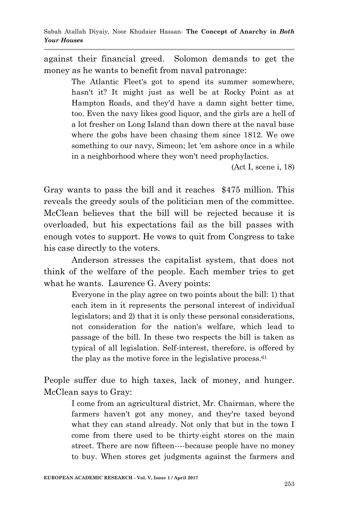against their financial greed. Solomon demands to get the money as he wants to benefit from naval patronage:

> The Atlantic Fleet's got to spend its summer somewhere, hasn't it? It might just as well be at Rocky Point as at Hampton Roads, and they'd have a damn sight better time, too. Even the navy likes good liquor, and the girls are a hell of a lot fresher on Long Island than down there at the naval base where the gobs have been chasing them since 1812. We owe something to our navy, Simeon; let 'em ashore once in a while in a neighborhood where they won't need prophylactics.

> > (Act I, scene i, 18)

Gray wants to pass the bill and it reaches \$475 million. This reveals the greedy souls of the politician men of the committee. McClean believes that the bill will be rejected because it is overloaded, but his expectations fail as the bill passes with enough votes to support. He vows to quit from Congress to take his case directly to the voters.

Anderson stresses the capitalist system, that does not think of the welfare of the people. Each member tries to get what he wants. Laurence G. Avery points:

> Everyone in the play agree on two points about the bill: 1) that each item in it represents the personal interest of individual legislators; and 2) that it is only these personal considerations, not consideration for the nation's welfare, which lead to passage of the bill. In these two respects the bill is taken as typical of all legislation. Self-interest, therefore, is offered by the play as the motive force in the legislative process. $61$

People suffer due to high taxes, lack of money, and hunger. McClean says to Gray:

> I come from an agricultural district, Mr. Chairman, where the farmers haven't got any money, and they're taxed beyond what they can stand already. Not only that but in the town I come from there used to be thirty-eight stores on the main street. There are now fifteen----because people have no money to buy. When stores get judgments against the farmers and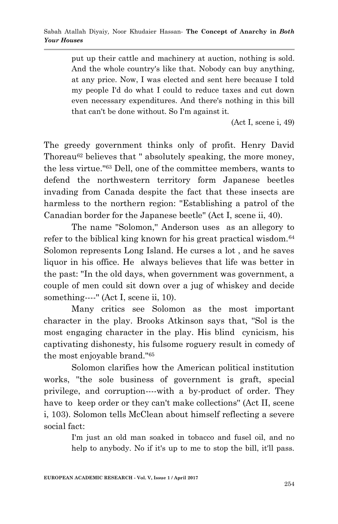put up their cattle and machinery at auction, nothing is sold. And the whole country's like that. Nobody can buy anything, at any price. Now, I was elected and sent here because I told my people I'd do what I could to reduce taxes and cut down even necessary expenditures. And there's nothing in this bill that can't be done without. So I'm against it.

(Act I, scene i, 49)

The greedy government thinks only of profit. Henry David Thoreau<sup>62</sup> believes that " absolutely speaking, the more money, the less virtue.''<sup>63</sup> Dell, one of the committee members, wants to defend the northwestern territory form Japanese beetles invading from Canada despite the fact that these insects are harmless to the northern region: ''Establishing a patrol of the Canadian border for the Japanese beetle'' (Act I, scene ii, 40).

The name ''Solomon,'' Anderson uses as an allegory to refer to the biblical king known for his great practical wisdom.<sup>64</sup> Solomon represents Long Island. He curses a lot , and he saves liquor in his office. He always believes that life was better in the past: ''In the old days, when government was government, a couple of men could sit down over a jug of whiskey and decide something----" (Act I, scene ii, 10).

Many critics see Solomon as the most important character in the play. Brooks Atkinson says that, ''Sol is the most engaging character in the play. His blind cynicism, his captivating dishonesty, his fulsome roguery result in comedy of the most enjoyable brand.''<sup>65</sup>

Solomon clarifies how the American political institution works, ''the sole business of government is graft, special privilege, and corruption----with a by-product of order. They have to keep order or they can't make collections" (Act II, scene i, 103). Solomon tells McClean about himself reflecting a severe social fact:

> I'm just an old man soaked in tobacco and fusel oil, and no help to anybody. No if it's up to me to stop the bill, it'll pass.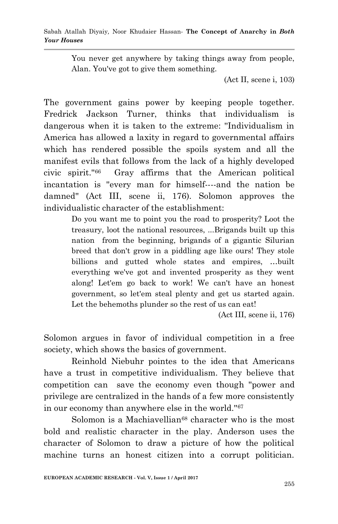You never get anywhere by taking things away from people, Alan. You've got to give them something.

(Act II, scene i, 103)

The government gains power by keeping people together. Fredrick Jackson Turner, thinks that individualism is dangerous when it is taken to the extreme: ''Individualism in America has allowed a laxity in regard to governmental affairs which has rendered possible the spoils system and all the manifest evils that follows from the lack of a highly developed civic spirit.''<sup>66</sup> Gray affirms that the American political incantation is ''every man for himself----and the nation be damned'' (Act III, scene ii, 176). Solomon approves the individualistic character of the establishment:

> Do you want me to point you the road to prosperity? Loot the treasury, loot the national resources, ...Brigands built up this nation from the beginning, brigands of a gigantic Silurian breed that don't grow in a piddling age like ours! They stole billions and gutted whole states and empires, …built everything we've got and invented prosperity as they went along! Let'em go back to work! We can't have an honest government, so let'em steal plenty and get us started again. Let the behemoths plunder so the rest of us can eat!

> > (Act III, scene ii, 176)

Solomon argues in favor of individual competition in a free society, which shows the basics of government.

Reinhold Niebuhr pointes to the idea that Americans have a trust in competitive individualism. They believe that competition can save the economy even though ''power and privilege are centralized in the hands of a few more consistently in our economy than anywhere else in the world.''<sup>67</sup>

Solomon is a Machiavellian $68$  character who is the most bold and realistic character in the play. Anderson uses the character of Solomon to draw a picture of how the political machine turns an honest citizen into a corrupt politician.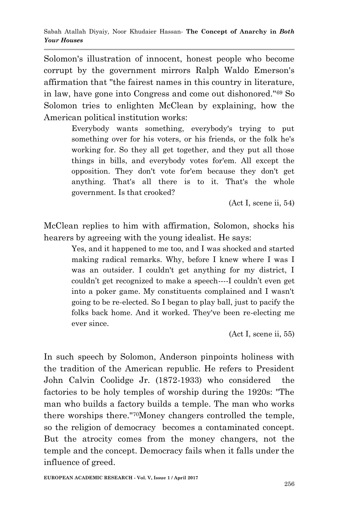Solomon's illustration of innocent, honest people who become corrupt by the government mirrors Ralph Waldo Emerson's affirmation that ''the fairest names in this country in literature, in law, have gone into Congress and come out dishonored.''<sup>69</sup> So Solomon tries to enlighten McClean by explaining, how the American political institution works:

> Everybody wants something, everybody's trying to put something over for his voters, or his friends, or the folk he's working for. So they all get together, and they put all those things in bills, and everybody votes for'em. All except the opposition. They don't vote for'em because they don't get anything. That's all there is to it. That's the whole government. Is that crooked?

> > (Act I, scene ii, 54)

McClean replies to him with affirmation, Solomon, shocks his hearers by agreeing with the young idealist. He says:

> Yes, and it happened to me too, and I was shocked and started making radical remarks. Why, before I knew where I was I was an outsider. I couldn't get anything for my district, I couldn't get recognized to make a speech----I couldn't even get into a poker game. My constituents complained and I wasn't going to be re-elected. So I began to play ball, just to pacify the folks back home. And it worked. They've been re-electing me ever since.

> > (Act I, scene ii, 55)

In such speech by Solomon, Anderson pinpoints holiness with the tradition of the American republic. He refers to President John Calvin Coolidge Jr. (1872-1933) who considered the factories to be holy temples of worship during the 1920s: ''The man who builds a factory builds a temple. The man who works there worships there.''70Money changers controlled the temple, so the religion of democracy becomes a contaminated concept. But the atrocity comes from the money changers, not the temple and the concept. Democracy fails when it falls under the influence of greed.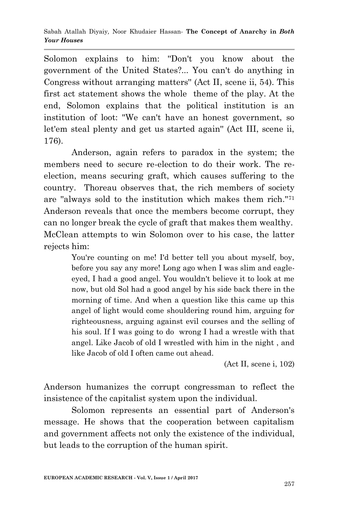Solomon explains to him: ''Don't you know about the government of the United States?... You can't do anything in Congress without arranging matters'' (Act II, scene ii, 54). This first act statement shows the whole theme of the play. At the end, Solomon explains that the political institution is an institution of loot: ''We can't have an honest government, so let'em steal plenty and get us started again'' (Act III, scene ii, 176).

Anderson, again refers to paradox in the system; the members need to secure re-election to do their work. The reelection, means securing graft, which causes suffering to the country. Thoreau observes that, the rich members of society are ''always sold to the institution which makes them rich.''<sup>71</sup> Anderson reveals that once the members become corrupt, they can no longer break the cycle of graft that makes them wealthy. McClean attempts to win Solomon over to his case, the latter rejects him:

> You're counting on me! I'd better tell you about myself, boy, before you say any more! Long ago when I was slim and eagleeyed, I had a good angel. You wouldn't believe it to look at me now, but old Sol had a good angel by his side back there in the morning of time. And when a question like this came up this angel of light would come shouldering round him, arguing for righteousness, arguing against evil courses and the selling of his soul. If I was going to do wrong I had a wrestle with that angel. Like Jacob of old I wrestled with him in the night , and like Jacob of old I often came out ahead.

> > (Act II, scene i, 102)

Anderson humanizes the corrupt congressman to reflect the insistence of the capitalist system upon the individual.

Solomon represents an essential part of Anderson's message. He shows that the cooperation between capitalism and government affects not only the existence of the individual, but leads to the corruption of the human spirit.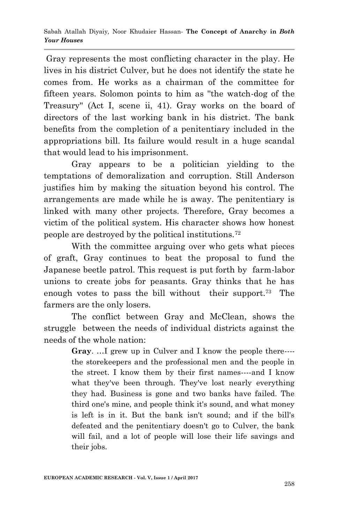Gray represents the most conflicting character in the play. He lives in his district Culver, but he does not identify the state he comes from. He works as a chairman of the committee for fifteen years. Solomon points to him as ''the watch-dog of the Treasury'' (Act I, scene ii, 41). Gray works on the board of directors of the last working bank in his district. The bank benefits from the completion of a penitentiary included in the appropriations bill. Its failure would result in a huge scandal that would lead to his imprisonment.

Gray appears to be a politician yielding to the temptations of demoralization and corruption. Still Anderson justifies him by making the situation beyond his control. The arrangements are made while he is away. The penitentiary is linked with many other projects. Therefore, Gray becomes a victim of the political system. His character shows how honest people are destroyed by the political institutions.<sup>72</sup>

With the committee arguing over who gets what pieces of graft, Gray continues to beat the proposal to fund the Japanese beetle patrol. This request is put forth by farm-labor unions to create jobs for peasants. Gray thinks that he has enough votes to pass the bill without their support.<sup>73</sup> The farmers are the only losers.

The conflict between Gray and McClean, shows the struggle between the needs of individual districts against the needs of the whole nation:

> **Gray**. …I grew up in Culver and I know the people there--- the storekeepers and the professional men and the people in the street. I know them by their first names----and I know what they've been through. They've lost nearly everything they had. Business is gone and two banks have failed. The third one's mine, and people think it's sound, and what money is left is in it. But the bank isn't sound; and if the bill's defeated and the penitentiary doesn't go to Culver, the bank will fail, and a lot of people will lose their life savings and their jobs.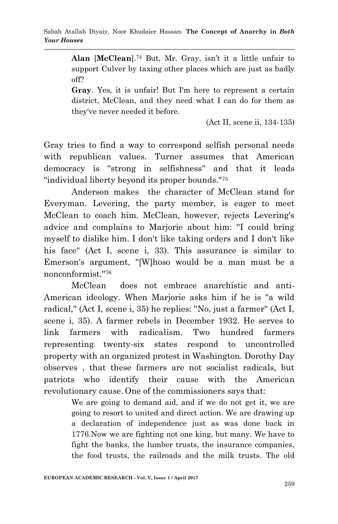**Alan** [**McClean**].<sup>74</sup> But, Mr. Gray, isn't it a little unfair to support Culver by taxing other places which are just as badly off?

**Gray**. Yes, it is unfair! But I'm here to represent a certain district, McClean, and they need what I can do for them as they've never needed it before.

(Act II, scene ii, 134-135)

Gray tries to find a way to correspond selfish personal needs with republican values. Turner assumes that American democracy is ''strong in selfishness'' and that it leads ''individual liberty beyond its proper bounds.''<sup>75</sup>

Anderson makes the character of McClean stand for Everyman. Levering, the party member, is eager to meet McClean to coach him. McClean, however, rejects Levering's advice and complains to Marjorie about him: ''I could bring myself to dislike him. I don't like taking orders and I don't like his face'' (Act I, scene i, 33). This assurance is similar to Emerson's argument, ''[W]hoso would be a man must be a nonconformist.''<sup>76</sup>

McClean does not embrace anarchistic and anti-American ideology. When Marjorie asks him if he is ''a wild radical,'' (Act I, scene i, 35) he replies: ''No, just a farmer'' (Act I, scene i, 35). A farmer rebels in December 1932. He serves to link farmers with radicalism. Two hundred farmers representing twenty-six states respond to uncontrolled property with an organized protest in Washington. Dorothy Day observes , that these farmers are not socialist radicals, but patriots who identify their cause with the American revolutionary cause. One of the commissioners says that:

> We are going to demand aid, and if we do not get it, we are going to resort to united and direct action. We are drawing up a declaration of independence just as was done back in 1776.Now we are fighting not one king, but many. We have to fight the banks, the lumber trusts, the insurance companies, the food trusts, the railroads and the milk trusts. The old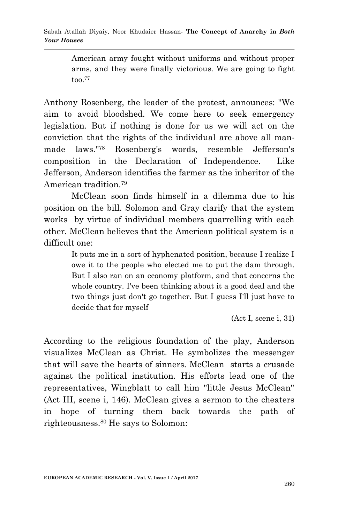American army fought without uniforms and without proper arms, and they were finally victorious. We are going to fight too.<sup>77</sup>

Anthony Rosenberg, the leader of the protest, announces: ''We aim to avoid bloodshed. We come here to seek emergency legislation. But if nothing is done for us we will act on the conviction that the rights of the individual are above all manmade laws.''<sup>78</sup> Rosenberg's words, resemble Jefferson's composition in the Declaration of Independence. Like Jefferson, Anderson identifies the farmer as the inheritor of the American tradition.<sup>79</sup>

McClean soon finds himself in a dilemma due to his position on the bill. Solomon and Gray clarify that the system works by virtue of individual members quarrelling with each other. McClean believes that the American political system is a difficult one:

> It puts me in a sort of hyphenated position, because I realize I owe it to the people who elected me to put the dam through. But I also ran on an economy platform, and that concerns the whole country. I've been thinking about it a good deal and the two things just don't go together. But I guess I'll just have to decide that for myself

> > (Act I, scene i, 31)

According to the religious foundation of the play, Anderson visualizes McClean as Christ. He symbolizes the messenger that will save the hearts of sinners. McClean starts a crusade against the political institution. His efforts lead one of the representatives, Wingblatt to call him ''little Jesus McClean'' (Act III, scene i, 146). McClean gives a sermon to the cheaters in hope of turning them back towards the path of righteousness.<sup>80</sup> He says to Solomon: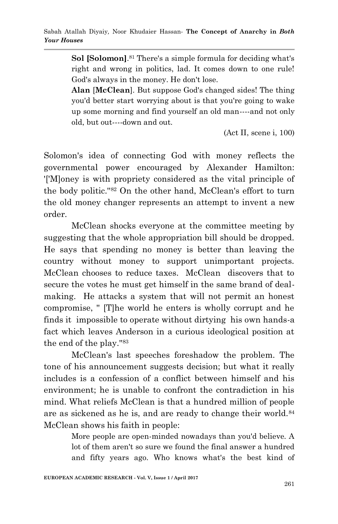**Sol [Solomon]**. <sup>81</sup> There's a simple formula for deciding what's right and wrong in politics, lad. It comes down to one rule! God's always in the money. He don't lose.

**Alan** [**McClean**]. But suppose God's changed sides! The thing you'd better start worrying about is that you're going to wake up some morning and find yourself an old man----and not only old, but out----down and out.

(Act II, scene i, 100)

Solomon's idea of connecting God with money reflects the governmental power encouraged by Alexander Hamilton: '['M]oney is with propriety considered as the vital principle of the body politic.''<sup>82</sup> On the other hand, McClean's effort to turn the old money changer represents an attempt to invent a new order.

 McClean shocks everyone at the committee meeting by suggesting that the whole appropriation bill should be dropped. He says that spending no money is better than leaving the country without money to support unimportant projects. McClean chooses to reduce taxes. McClean discovers that to secure the votes he must get himself in the same brand of dealmaking. He attacks a system that will not permit an honest compromise, '' [T]he world he enters is wholly corrupt and he finds it impossible to operate without dirtying his own hands-a fact which leaves Anderson in a curious ideological position at the end of the play.''<sup>83</sup>

McClean's last speeches foreshadow the problem. The tone of his announcement suggests decision; but what it really includes is a confession of a conflict between himself and his environment; he is unable to confront the contradiction in his mind. What reliefs McClean is that a hundred million of people are as sickened as he is, and are ready to change their world.<sup>84</sup> McClean shows his faith in people:

> More people are open-minded nowadays than you'd believe. A lot of them aren't so sure we found the final answer a hundred and fifty years ago. Who knows what's the best kind of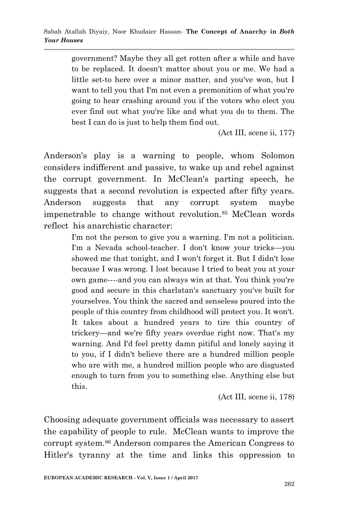government? Maybe they all get rotten after a while and have to be replaced. It doesn't matter about you or me. We had a little set-to here over a minor matter, and you've won, but I want to tell you that I'm not even a premonition of what you're going to hear crashing around you if the voters who elect you ever find out what you're like and what you do to them. The best I can do is just to help them find out.

(Act III, scene ii, 177)

Anderson's play is a warning to people, whom Solomon considers indifferent and passive, to wake up and rebel against the corrupt government. In McClean's parting speech, he suggests that a second revolution is expected after fifty years. Anderson suggests that any corrupt system maybe impenetrable to change without revolution.<sup>85</sup> McClean words reflect his anarchistic character:

> I'm not the person to give you a warning. I'm not a politician. I'm a Nevada school-teacher. I don't know your tricks—you showed me that tonight, and I won't forget it. But I didn't lose because I was wrong. I lost because I tried to beat you at your own game----and you can always win at that. You think you're good and secure in this charlatan's sanctuary you've built for yourselves. You think the sacred and senseless poured into the people of this country from childhood will protect you. It won't. It takes about a hundred years to tire this country of trickery—and we're fifty years overdue right now. That's my warning. And I'd feel pretty damn pitiful and lonely saying it to you, if I didn't believe there are a hundred million people who are with me, a hundred million people who are disgusted enough to turn from you to something else. Anything else but this.

> > (Act III, scene ii, 178)

Choosing adequate government officials was necessary to assert the capability of people to rule. McClean wants to improve the corrupt system.<sup>86</sup> Anderson compares the American Congress to Hitler's tyranny at the time and links this oppression to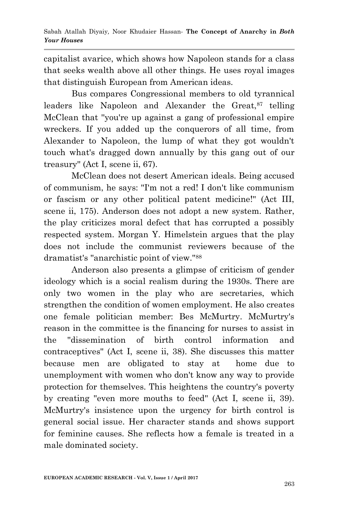capitalist avarice, which shows how Napoleon stands for a class that seeks wealth above all other things. He uses royal images that distinguish European from American ideas.

Bus compares Congressional members to old tyrannical leaders like Napoleon and Alexander the Great, 87 telling McClean that ''you're up against a gang of professional empire wreckers. If you added up the conquerors of all time, from Alexander to Napoleon, the lump of what they got wouldn't touch what's dragged down annually by this gang out of our treasury'' (Act I, scene ii, 67).

McClean does not desert American ideals. Being accused of communism, he says: ''I'm not a red! I don't like communism or fascism or any other political patent medicine!'' (Act III, scene ii, 175). Anderson does not adopt a new system. Rather, the play criticizes moral defect that has corrupted a possibly respected system. Morgan Y. Himelstein argues that the play does not include the communist reviewers because of the dramatist's ''anarchistic point of view.''<sup>88</sup>

Anderson also presents a glimpse of criticism of gender ideology which is a social realism during the 1930s. There are only two women in the play who are secretaries, which strengthen the condition of women employment. He also creates one female politician member: Bes McMurtry. McMurtry's reason in the committee is the financing for nurses to assist in the ''dissemination of birth control information and contraceptives'' (Act I, scene ii, 38). She discusses this matter because men are obligated to stay at home due to unemployment with women who don't know any way to provide protection for themselves. This heightens the country's poverty by creating ''even more mouths to feed'' (Act I, scene ii, 39). McMurtry's insistence upon the urgency for birth control is general social issue. Her character stands and shows support for feminine causes. She reflects how a female is treated in a male dominated society.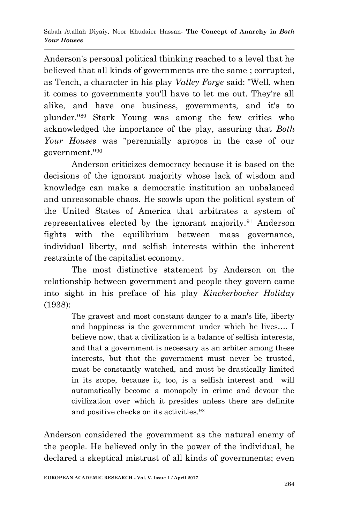Anderson's personal political thinking reached to a level that he believed that all kinds of governments are the same ; corrupted, as Tench, a character in his play *Valley Forge* said: ''Well, when it comes to governments you'll have to let me out. They're all alike, and have one business, governments, and it's to plunder.''<sup>89</sup> Stark Young was among the few critics who acknowledged the importance of the play, assuring that *Both Your Houses* was ''perennially apropos in the case of our government.''<sup>90</sup>

Anderson criticizes democracy because it is based on the decisions of the ignorant majority whose lack of wisdom and knowledge can make a democratic institution an unbalanced and unreasonable chaos. He scowls upon the political system of the United States of America that arbitrates a system of representatives elected by the ignorant majority.<sup>91</sup> Anderson fights with the equilibrium between mass governance, individual liberty, and selfish interests within the inherent restraints of the capitalist economy.

The most distinctive statement by Anderson on the relationship between government and people they govern came into sight in his preface of his play *Kinckerbocker Holiday* (1938):

> The gravest and most constant danger to a man's life, liberty and happiness is the government under which he lives…. I believe now, that a civilization is a balance of selfish interests, and that a government is necessary as an arbiter among these interests, but that the government must never be trusted, must be constantly watched, and must be drastically limited in its scope, because it, too, is a selfish interest and will automatically become a monopoly in crime and devour the civilization over which it presides unless there are definite and positive checks on its activities.<sup>92</sup>

Anderson considered the government as the natural enemy of the people. He believed only in the power of the individual, he declared a skeptical mistrust of all kinds of governments; even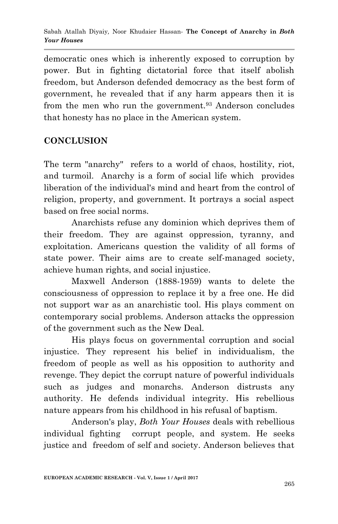democratic ones which is inherently exposed to corruption by power. But in fighting dictatorial force that itself abolish freedom, but Anderson defended democracy as the best form of government, he revealed that if any harm appears then it is from the men who run the government.<sup>93</sup> Anderson concludes that honesty has no place in the American system.

## **CONCLUSION**

The term "anarchy" refers to a world of chaos, hostility, riot, and turmoil. Anarchy is a form of social life which provides liberation of the individual's mind and heart from the control of religion, property, and government. It portrays a social aspect based on free social norms.

Anarchists refuse any dominion which deprives them of their freedom. They are against oppression, tyranny, and exploitation. Americans question the validity of all forms of state power. Their aims are to create self-managed society, achieve human rights, and social injustice.

Maxwell Anderson (1888-1959) wants to delete the consciousness of oppression to replace it by a free one. He did not support war as an anarchistic tool. His plays comment on contemporary social problems. Anderson attacks the oppression of the government such as the New Deal.

His plays focus on governmental corruption and social injustice. They represent his belief in individualism, the freedom of people as well as his opposition to authority and revenge. They depict the corrupt nature of powerful individuals such as judges and monarchs. Anderson distrusts any authority. He defends individual integrity. His rebellious nature appears from his childhood in his refusal of baptism.

Anderson's play, *Both Your Houses* deals with rebellious individual fighting corrupt people, and system. He seeks justice and freedom of self and society. Anderson believes that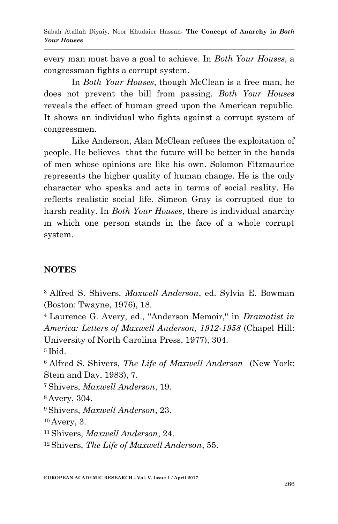every man must have a goal to achieve. In *Both Your Houses*, a congressman fights a corrupt system.

In *Both Your Houses*, though McClean is a free man, he does not prevent the bill from passing. *Both Your Houses* reveals the effect of human greed upon the American republic. It shows an individual who fights against a corrupt system of congressmen.

Like Anderson, Alan McClean refuses the exploitation of people. He believes that the future will be better in the hands of men whose opinions are like his own. Solomon Fitzmaurice represents the higher quality of human change. He is the only character who speaks and acts in terms of social reality. He reflects realistic social life. Simeon Gray is corrupted due to harsh reality. In *Both Your Houses*, there is individual anarchy in which one person stands in the face of a whole corrupt system.

#### **NOTES**

<sup>3</sup>Alfred S. Shivers, *Maxwell Anderson*, ed. Sylvia E. Bowman (Boston: Twayne, 1976), 18.

<sup>4</sup>Laurence G. Avery, ed., ''Anderson Memoir,'' in *Dramatist in America: Letters of Maxwell Anderson, 1912-1958* (Chapel Hill: University of North Carolina Press, 1977), 304.

<sup>5</sup>Ibid.

<sup>6</sup>Alfred S. Shivers, *The Life of Maxwell Anderson* (New York: Stein and Day, 1983), 7.

<sup>7</sup>Shivers, *Maxwell Anderson*, 19.

<sup>8</sup>Avery, 304.

<sup>9</sup>Shivers, *Maxwell Anderson*, 23.

<sup>10</sup>Avery, 3.

<sup>11</sup>Shivers, *Maxwell Anderson*, 24.

12 Shivers, *The Life of Maxwell Anderson*, 55.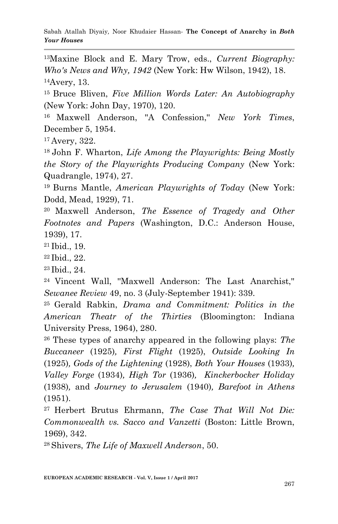Sabah Atallah Diyaiy*,* Noor Khudaier Hassan*-* **The Concept of Anarchy in** *Both Your Houses*

<sup>13</sup>Maxine Block and E. Mary Trow, eds., *Current Biography: Who's News and Why, 1942* (New York: Hw Wilson, 1942), 18. <sup>14</sup>Avery, 13.

<sup>15</sup>Bruce Bliven, *Five Million Words Later: An Autobiography* (New York: John Day, 1970), 120.

<sup>16</sup> Maxwell Anderson, ''A Confession,'' *New York Times*, December 5, 1954.

<sup>17</sup>Avery, 322.

<sup>18</sup>John F. Wharton, *Life Among the Playwrights: Being Mostly the Story of the Playwrights Producing Company* (New York: Quadrangle, 1974), 27.

<sup>19</sup> Burns Mantle, *American Playwrights of Today* (New York: Dodd, Mead, 1929), 71.

<sup>20</sup>Maxwell Anderson, *The Essence of Tragedy and Other Footnotes and Papers* (Washington, D.C.: Anderson House, 1939), 17.

<sup>21</sup>Ibid., 19.

<sup>22</sup>Ibid., 22.

<sup>23</sup>Ibid., 24.

<sup>24</sup> Vincent Wall, ''Maxwell Anderson: The Last Anarchist,'' *Sewanee Review* 49, no. 3 (July-September 1941): 339.

<sup>25</sup>Gerald Rabkin, *Drama and Commitment: Politics in the American Theatr of the Thirties* (Bloomington: Indiana University Press, 1964), 280.

<sup>26</sup> These types of anarchy appeared in the following plays: *The Buccaneer* (1925)*, First Flight* (1925), *Outside Looking In*  (1925)*, Gods of the Lightening* (1928), *Both Your Houses* (1933)*, Valley Forge* (1934)*, High Tor* (1936)*, Kinckerbocker Holiday*  (1938)*,* and *Journey to Jerusalem* (1940)*, Barefoot in Athens* (1951).

<sup>27</sup>Herbert Brutus Ehrmann, *The Case That Will Not Die: Commonwealth vs. Sacco and Vanzetti* (Boston: Little Brown, 1969), 342.

28 Shivers, *The Life of Maxwell Anderson*, 50.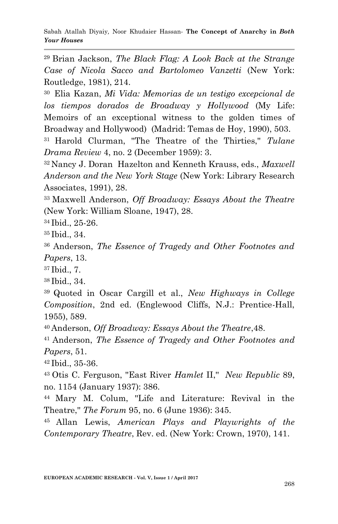<sup>29</sup>Brian Jackson, *The Black Flag: A Look Back at the Strange Case of Nicola Sacco and Bartolomeo Vanzetti* (New York: Routledge, 1981), 214.

<sup>30</sup>Elia Kazan, *Mi Vida: Memorias de un testigo excepcional de los tiempos dorados de Broadway y Hollywood* (My Life: Memoirs of an exceptional witness to the golden times of Broadway and Hollywood) (Madrid: Temas de Hoy, 1990), 503.

<sup>31</sup>Harold Clurman, ''The Theatre of the Thirties,'' *Tulane Drama Review* 4, no. 2 (December 1959): 3.

<sup>32</sup>Nancy J. Doran Hazelton and Kenneth Krauss, eds., *Maxwell Anderson and the New York Stage* (New York: Library Research Associates, 1991), 28.

<sup>33</sup>Maxwell Anderson, *Off Broadway: Essays About the Theatre* (New York: William Sloane, 1947), 28.

<sup>34</sup>Ibid., 25-26.

<sup>35</sup>Ibid., 34.

<sup>36</sup> Anderson, *The Essence of Tragedy and Other Footnotes and Papers*, 13.

<sup>37</sup>Ibid., 7.

<sup>38</sup>Ibid., 34.

<sup>39</sup>Quoted in Oscar Cargill et al., *New Highways in College Composition*, 2nd ed. (Englewood Cliffs, N.J.: Prentice-Hall, 1955), 589.

<sup>40</sup>Anderson, *Off Broadway: Essays About the Theatre*,48.

<sup>41</sup>Anderson, *The Essence of Tragedy and Other Footnotes and Papers*, 51.

<sup>42</sup>Ibid., 35-36.

<sup>43</sup>Otis C. Ferguson, ''East River *Hamlet* II,'' *New Republic* 89, no. 1154 (January 1937): 386.

<sup>44</sup>Mary M. Colum, ''Life and Literature: Revival in the Theatre,'' *The Forum* 95, no. 6 (June 1936): 345.

<sup>45</sup>Allan Lewis, *American Plays and Playwrights of the Contemporary Theatre*, Rev. ed. (New York: Crown, 1970), 141.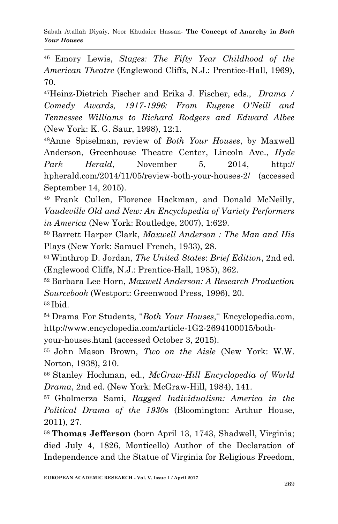Sabah Atallah Diyaiy*,* Noor Khudaier Hassan*-* **The Concept of Anarchy in** *Both Your Houses*

<sup>46</sup>Emory Lewis, *Stages: The Fifty Year Childhood of the American Theatre* (Englewood Cliffs, N.J.: Prentice-Hall, 1969), 70.

<sup>47</sup>Heinz-Dietrich Fischer and Erika J. Fischer, eds., *Drama / Comedy Awards, 1917-1996: From Eugene O'Neill and Tennessee Williams to Richard Rodgers and Edward Albee*  (New York: K. G. Saur, 1998), 12:1.

<sup>48</sup>Anne Spiselman, review of *Both Your Houses*, by Maxwell Anderson, Greenhouse Theatre Center, Lincoln Ave., *Hyde Park Herald*, November 5, 2014, http:// hpherald.com/2014/11/05/review-both-your-houses-2/ (accessed September 14, 2015).

<sup>49</sup>Frank Cullen, Florence Hackman, and Donald McNeilly, *Vaudeville Old and New: An Encyclopedia of Variety Performers in America* (New York: Routledge, 2007), 1:629.

<sup>50</sup>Barrett Harper Clark, *Maxwell Anderson : The Man and His* Plays (New York: Samuel French, 1933), 28.

<sup>51</sup>Winthrop D. Jordan, *The United States*: *Brief Edition*, 2nd ed. (Englewood Cliffs, N.J.: Prentice-Hall, 1985), 362.

<sup>52</sup>Barbara Lee Horn, *Maxwell Anderson: A Research Production Sourcebook* (Westport: Greenwood Press, 1996), 20. <sup>53</sup>Ibid.

<sup>54</sup>Drama For Students, ''*Both Your Houses*,'' Encyclopedia.com, http://www.encyclopedia.com/article-1G2-2694100015/both-

your-houses.html (accessed October 3, 2015).

<sup>55</sup>John Mason Brown, *Two on the Aisle* (New York: W.W. Norton, 1938), 210.

<sup>56</sup>Stanley Hochman, ed., *McGraw-Hill Encyclopedia of World Drama*, 2nd ed. (New York: McGraw-Hill, 1984), 141.

<sup>57</sup>Gholmerza Sami, *Ragged Individualism: America in the Political Drama of the 1930s* (Bloomington: Arthur House, 2011), 27.

<sup>58</sup>**Thomas Jefferson** (born April 13, 1743, Shadwell, Virginia; died July 4, 1826, Monticello) Author of the Declaration of Independence and the Statue of Virginia for Religious Freedom,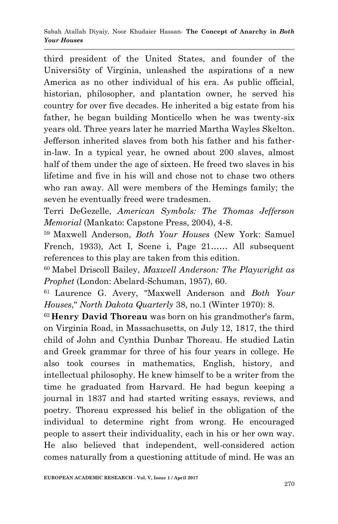third president of the United States, and founder of the Universi5ty of Virginia, unleashed the aspirations of a new America as no other individual of his era. As public official, historian, philosopher, and plantation owner, he served his country for over five decades. He inherited a big estate from his father, he began building Monticello when he was twenty-six years old. Three years later he married Martha Wayles Skelton. Jefferson inherited slaves from both his father and his fatherin-law. In a typical year, he owned about 200 slaves, almost half of them under the age of sixteen. He freed two slaves in his lifetime and five in his will and chose not to chase two others who ran away. All were members of the Hemings family; the seven he eventually freed were tradesmen.

Terri DeGezelle, *American Symbols: The Thomas Jefferson Memorial* (Mankato: Capstone Press, 2004), 4-8.

<sup>59</sup>Maxwell Anderson, *Both Your Houses* (New York: Samuel French, 1933), Act I, Scene i, Page 21…… All subsequent references to this play are taken from this edition.

<sup>60</sup>Mabel Driscoll Bailey, *Maxwell Anderson: The Playwright as Prophet* (London: Abelard-Schuman, 1957), 60.

<sup>61</sup>Laurence G. Avery, ''Maxwell Anderson and *Both Your Houses*,'' *North Dakota Quarterly* 38, no.1 (Winter 1970): 8.

<sup>62</sup>**Henry David Thoreau** was born on his grandmother's farm, on Virginia Road, in Massachusetts, on July 12, 1817, the third child of John and Cynthia Dunbar Thoreau. He studied Latin and Greek grammar for three of his four years in college. He also took courses in mathematics, English, history, and intellectual philosophy. He knew himself to be a writer from the time he graduated from Harvard. He had begun keeping a journal in 1837 and had started writing essays, reviews, and poetry. Thoreau expressed his belief in the obligation of the individual to determine right from wrong. He encouraged people to assert their individuality, each in his or her own way. He also believed that independent, well-considered action comes naturally from a questioning attitude of mind. He was an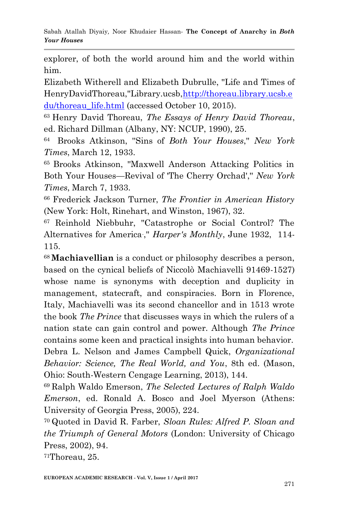explorer, of both the world around him and the world within him.

Elizabeth Witherell and Elizabeth Dubrulle, ''Life and Times of HenryDavidThoreau,''Library.ucsb[,http://thoreau.library.ucsb.e](http://thoreau.library.ucsb.edu/thoreau_life.html) [du/thoreau\\_life.html](http://thoreau.library.ucsb.edu/thoreau_life.html) (accessed October 10, 2015).

<sup>63</sup>Henry David Thoreau, *The Essays of Henry David Thoreau*, ed. Richard Dillman (Albany, NY: NCUP, 1990), 25.

<sup>64</sup>Brooks Atkinson, ''Sins of *Both Your Houses*,'' *New York Times*, March 12, 1933.

<sup>65</sup>Brooks Atkinson, ''Maxwell Anderson Attacking Politics in Both Your Houses—Revival of 'The Cherry Orchad','' *New York Times*, March 7, 1933.

<sup>66</sup> Frederick Jackson Turner, *The Frontier in American History*  (New York: Holt, Rinehart, and Winston, 1967), 32.

<sup>67</sup> Reinhold Niebbuhr, ''Catastrophe or Social Control? The Alternatives for America," *Harper's Monthly*, June 1932, 114-115.

<sup>68</sup>**Machiavellian** is a conduct or philosophy describes a person, based on the cynical beliefs of Niccolò Machiavelli 91469-1527) whose name is synonyms with deception and duplicity in management, statecraft, and conspiracies. Born in Florence, Italy, Machiavelli was its second chancellor and in 1513 wrote the book *The Prince* that discusses ways in which the rulers of a nation state can gain control and power. Although *The Prince* contains some keen and practical insights into human behavior. Debra L. Nelson and James Campbell Quick, *Organizational Behavior: Science, The Real World, and You*, 8th ed. (Mason, Ohio: South-Western Cengage Learning, 2013), 144.

<sup>69</sup>Ralph Waldo Emerson, *The Selected Lectures of Ralph Waldo Emerson*, ed. Ronald A. Bosco and Joel Myerson (Athens: University of Georgia Press, 2005), 224.

<sup>70</sup>Quoted in David R. Farber, *Sloan Rules: Alfred P. Sloan and the Triumph of General Motors* (London: University of Chicago Press, 2002), 94.

71Thoreau, 25.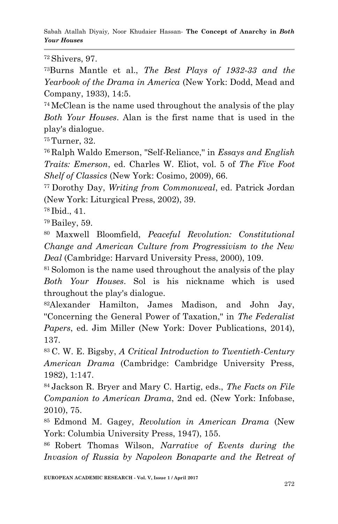Sabah Atallah Diyaiy*,* Noor Khudaier Hassan*-* **The Concept of Anarchy in** *Both Your Houses*

<sup>72</sup>Shivers, 97.

<sup>73</sup>Burns Mantle et al., *The Best Plays of 1932-33 and the Yearbook of the Drama in America* (New York: Dodd, Mead and Company, 1933), 14:5.

<sup>74</sup>McClean is the name used throughout the analysis of the play *Both Your Houses*. Alan is the first name that is used in the play's dialogue.

<sup>75</sup>Turner, 32.

<sup>76</sup>Ralph Waldo Emerson, ''Self-Reliance,'' in *Essays and English Traits: Emerson*, ed. Charles W. Eliot, vol. 5 of *The Five Foot Shelf of Classics* (New York: Cosimo, 2009), 66.

<sup>77</sup>Dorothy Day, *Writing from Commonweal*, ed. Patrick Jordan (New York: Liturgical Press, 2002), 39.

<sup>78</sup>Ibid., 41.

<sup>79</sup>Bailey, 59.

<sup>80</sup>Maxwell Bloomfield, *Peaceful Revolution: Constitutional Change and American Culture from Progressivism to the New Deal* (Cambridge: Harvard University Press, 2000), 109.

<sup>81</sup> Solomon is the name used throughout the analysis of the play *Both Your Houses*. Sol is his nickname which is used throughout the play's dialogue.

<sup>82</sup>Alexander Hamilton, James Madison, and John Jay, ''Concerning the General Power of Taxation,'' in *The Federalist Papers*, ed. Jim Miller (New York: Dover Publications, 2014), 137.

<sup>83</sup>C. W. E. Bigsby, *A Critical Introduction to Twentieth-Century American Drama* (Cambridge: Cambridge University Press, 1982), 1:147.

<sup>84</sup>Jackson R. Bryer and Mary C. Hartig, eds., *The Facts on File Companion to American Drama*, 2nd ed. (New York: Infobase, 2010), 75.

<sup>85</sup>Edmond M. Gagey, *Revolution in American Drama* (New York: Columbia University Press, 1947), 155.

<sup>86</sup>Robert Thomas Wilson, *Narrative of Events during the Invasion of Russia by Napoleon Bonaparte and the Retreat of*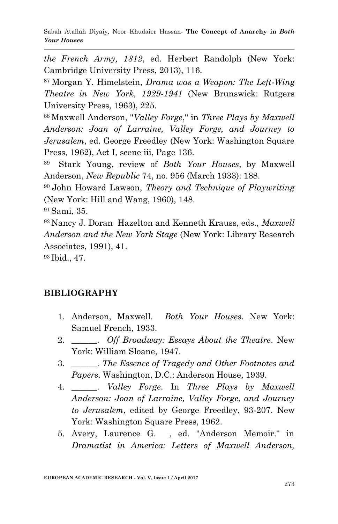Sabah Atallah Diyaiy*,* Noor Khudaier Hassan*-* **The Concept of Anarchy in** *Both Your Houses*

*the French Army, 1812*, ed. Herbert Randolph (New York: Cambridge University Press, 2013), 116.

<sup>87</sup>Morgan Y. Himelstein, *Drama was a Weapon: The Left-Wing Theatre in New York, 1929-1941* (New Brunswick: Rutgers University Press, 1963), 225.

<sup>88</sup>Maxwell Anderson, ''*Valley Forge*,'' in *Three Plays by Maxwell Anderson: Joan of Larraine, Valley Forge, and Journey to Jerusalem*, ed. George Freedley (New York: Washington Square Press, 1962), Act I, scene iii, Page 136.

<sup>89</sup>Stark Young, review of *Both Your Houses*, by Maxwell Anderson, *New Republic* 74, no. 956 (March 1933): 188.

<sup>90</sup>John Howard Lawson, *Theory and Technique of Playwriting* (New York: Hill and Wang, 1960), 148.

<sup>91</sup>Sami, 35.

<sup>92</sup>Nancy J. Doran Hazelton and Kenneth Krauss, eds., *Maxwell Anderson and the New York Stage* (New York: Library Research Associates, 1991), 41.

<sup>93</sup>Ibid., 47.

#### **BIBLIOGRAPHY**

- 1. Anderson, Maxwell. *Both Your Houses*. New York: Samuel French, 1933.
- 2. \_\_\_\_\_\_. *Off Broadway: Essays About the Theatre*. New York: William Sloane, 1947.
- 3. \_\_\_\_\_\_. *The Essence of Tragedy and Other Footnotes and Papers*. Washington, D.C.: Anderson House, 1939.
- 4. \_\_\_\_\_\_. *Valley Forge*. In *Three Plays by Maxwell Anderson: Joan of Larraine, Valley Forge, and Journey to Jerusalem*, edited by George Freedley, 93-207. New York: Washington Square Press, 1962.
- 5. Avery, Laurence G. , ed. ''Anderson Memoir.'' in *Dramatist in America: Letters of Maxwell Anderson,*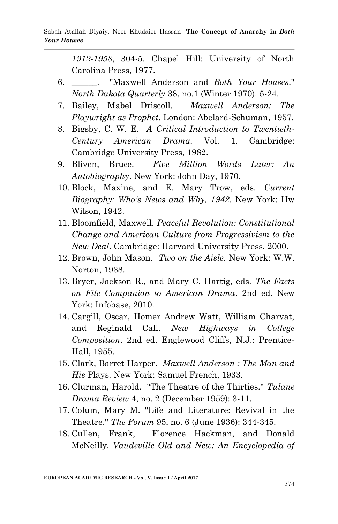*1912-1958*, 304-5. Chapel Hill: University of North Carolina Press, 1977.

- 6. \_\_\_\_\_\_. ''Maxwell Anderson and *Both Your Houses*.'' *North Dakota Quarterly* 38, no.1 (Winter 1970): 5-24.
- 7. Bailey, Mabel Driscoll. *Maxwell Anderson: The Playwright as Prophet*. London: Abelard-Schuman, 1957.
- 8. Bigsby, C. W. E. *A Critical Introduction to Twentieth-Century American Drama.* Vol. 1. Cambridge: Cambridge University Press, 1982.
- 9. Bliven, Bruce. *Five Million Words Later: An Autobiography*. New York: John Day, 1970.
- 10. Block, Maxine, and E. Mary Trow, eds. *Current Biography: Who's News and Why, 1942.* New York: Hw Wilson, 1942.
- 11. Bloomfield, Maxwell. *Peaceful Revolution: Constitutional Change and American Culture from Progressivism to the New Deal*. Cambridge: Harvard University Press, 2000.
- 12. Brown, John Mason. *Two on the Aisle*. New York: W.W. Norton, 1938.
- 13. Bryer, Jackson R., and Mary C. Hartig, eds. *The Facts on File Companion to American Drama*. 2nd ed. New York: Infobase, 2010.
- 14. Cargill, Oscar, Homer Andrew Watt, William Charvat, and Reginald Call. *New Highways in College Composition*. 2nd ed. Englewood Cliffs, N.J.: Prentice-Hall, 1955.
- 15. Clark, Barret Harper. *Maxwell Anderson : The Man and His* Plays. New York: Samuel French, 1933.
- 16. Clurman, Harold. ''The Theatre of the Thirties.'' *Tulane Drama Review* 4, no. 2 (December 1959): 3-11.
- 17. Colum, Mary M. ''Life and Literature: Revival in the Theatre.'' *The Forum* 95, no. 6 (June 1936): 344-345.
- 18. Cullen, Frank, Florence Hackman, and Donald McNeilly. *Vaudeville Old and New: An Encyclopedia of*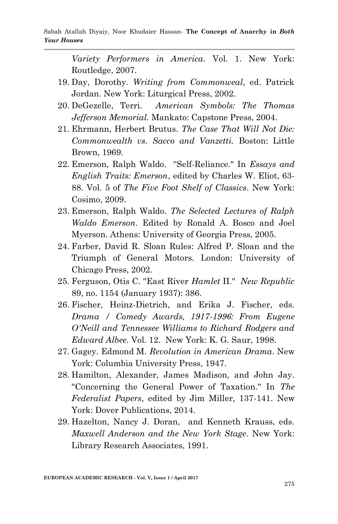*Variety Performers in America*. Vol. 1. New York: Routledge, 2007.

- 19. Day, Dorothy. *Writing from Commonweal*, ed. Patrick Jordan. New York: Liturgical Press, 2002.
- 20. DeGezelle, Terri. *American Symbols: The Thomas Jefferson Memorial.* Mankato: Capstone Press, 2004.
- 21. Ehrmann, Herbert Brutus. *The Case That Will Not Die: Commonwealth vs. Sacco and Vanzetti.* Boston: Little Brown, 1969.
- 22. Emerson, Ralph Waldo. ''Self-Reliance.'' In *Essays and English Traits: Emerson*, edited by Charles W. Eliot, 63- 88. Vol. 5 of *The Five Foot Shelf of Classics*. New York: Cosimo, 2009.
- 23. Emerson, Ralph Waldo. *The Selected Lectures of Ralph Waldo Emerson*. Edited by Ronald A. Bosco and Joel Myerson. Athens: University of Georgia Press, 2005.
- 24. Farber, David R. Sloan Rules: Alfred P. Sloan and the Triumph of General Motors. London: University of Chicago Press, 2002.
- 25. Ferguson, Otis C. ''East River *Hamlet* II.'' *New Republic* 89, no. 1154 (January 1937): 386.
- 26. Fischer, Heinz-Dietrich, and Erika J. Fischer, eds. *Drama / Comedy Awards, 1917-1996: From Eugene O'Neill and Tennessee Williams to Richard Rodgers and Edward Albee.* Vol. 12. New York: K. G. Saur, 1998.
- 27. Gagey. Edmond M. *Revolution in American Drama*. New York: Columbia University Press, 1947.
- 28. Hamilton, Alexander, James Madison, and John Jay. ''Concerning the General Power of Taxation.'' In *The Federalist Papers*, edited by Jim Miller, 137-141. New York: Dover Publications, 2014.
- 29. Hazelton, Nancy J. Doran, and Kenneth Krauss, eds. *Maxwell Anderson and the New York Stage*. New York: Library Research Associates, 1991.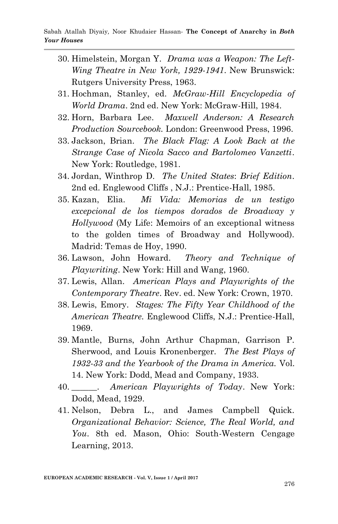- 30. Himelstein, Morgan Y. *Drama was a Weapon: The Left-Wing Theatre in New York, 1929-1941*. New Brunswick: Rutgers University Press, 1963.
- 31. Hochman, Stanley, ed. *McGraw-Hill Encyclopedia of World Drama*. 2nd ed. New York: McGraw-Hill, 1984.
- 32. Horn, Barbara Lee. *Maxwell Anderson: A Research Production Sourcebook.* London: Greenwood Press, 1996.
- 33. Jackson, Brian. *The Black Flag: A Look Back at the Strange Case of Nicola Sacco and Bartolomeo Vanzetti*. New York: Routledge, 1981.
- 34. Jordan, Winthrop D. *The United States*: *Brief Edition*. 2nd ed. Englewood Cliffs , N.J.: Prentice-Hall, 1985.
- 35. Kazan, Elia. *Mi Vida: Memorias de un testigo excepcional de los tiempos dorados de Broadway y Hollywood* (My Life: Memoirs of an exceptional witness to the golden times of Broadway and Hollywood). Madrid: Temas de Hoy, 1990.
- 36. Lawson, John Howard. *Theory and Technique of Playwriting*. New York: Hill and Wang, 1960.
- 37. Lewis, Allan. *American Plays and Playwrights of the Contemporary Theatre*. Rev. ed. New York: Crown, 1970.
- 38. Lewis, Emory. *Stages: The Fifty Year Childhood of the American Theatre.* Englewood Cliffs, N.J.: Prentice-Hall, 1969.
- 39. Mantle, Burns, John Arthur Chapman, Garrison P. Sherwood, and Louis Kronenberger. *The Best Plays of 1932-33 and the Yearbook of the Drama in America.* Vol. 14. New York: Dodd, Mead and Company, 1933.
- 40. \_\_\_\_\_\_. *American Playwrights of Today*. New York: Dodd, Mead, 1929.
- 41. Nelson, Debra L., and James Campbell Quick. *Organizational Behavior: Science, The Real World, and You*. 8th ed. Mason, Ohio: South-Western Cengage Learning, 2013.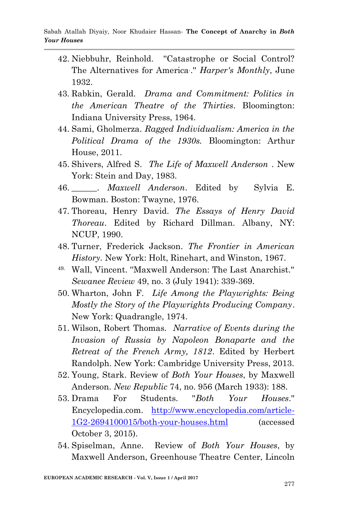- 42. Niebbuhr, Reinhold. ''Catastrophe or Social Control? The Alternatives for America. .'' *Harper's Monthly*, June 1932.
- 43. Rabkin, Gerald. *Drama and Commitment: Politics in the American Theatre of the Thirties*. Bloomington: Indiana University Press, 1964.
- 44. Sami, Gholmerza. *Ragged Individualism: America in the Political Drama of the 1930s.* Bloomington: Arthur House, 2011.
- 45. Shivers, Alfred S. *The Life of Maxwell Anderson* . New York: Stein and Day, 1983.
- 46. \_\_\_\_\_\_. *Maxwell Anderson*. Edited by Sylvia E. Bowman. Boston: Twayne, 1976.
- 47. Thoreau, Henry David. *The Essays of Henry David Thoreau*. Edited by Richard Dillman. Albany, NY: NCUP, 1990.
- 48. Turner, Frederick Jackson. *The Frontier in American History.* New York: Holt, Rinehart, and Winston, 1967.
- 49. Wall, Vincent. ''Maxwell Anderson: The Last Anarchist.'' *Sewanee Review* 49, no. 3 (July 1941): 339-369.
- 50. Wharton, John F. *Life Among the Playwrights: Being Mostly the Story of the Playwrights Producing Company*. New York: Quadrangle, 1974.
- 51. Wilson, Robert Thomas. *Narrative of Events during the Invasion of Russia by Napoleon Bonaparte and the Retreat of the French Army, 1812*. Edited by Herbert Randolph. New York: Cambridge University Press, 2013.
- 52. Young, Stark. Review of *Both Your Houses*, by Maxwell Anderson. *New Republic* 74, no. 956 (March 1933): 188.
- 53. Drama For Students. ''*Both Your Houses*.'' Encyclopedia.com. [http://www.encyclopedia.com/article-](http://www.encyclopedia.com/article-1G2-2694100015/both-your-houses.html)[1G2-2694100015/both-your-houses.html](http://www.encyclopedia.com/article-1G2-2694100015/both-your-houses.html) (accessed October 3, 2015).
- 54. Spiselman, Anne. Review of *Both Your Houses*, by Maxwell Anderson, Greenhouse Theatre Center, Lincoln